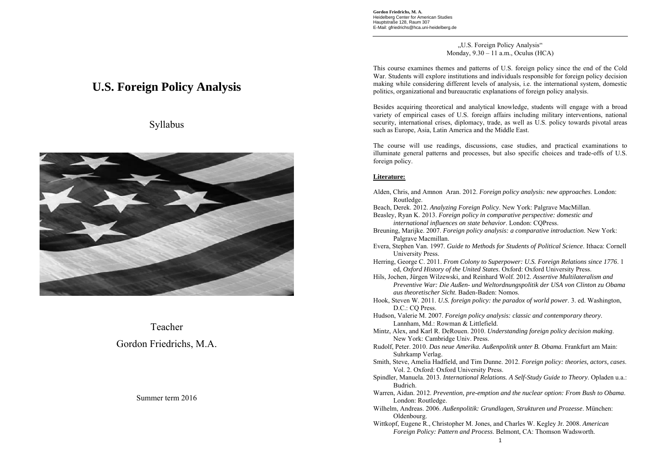**Gordon Friedrichs, M. A.**  Heidelberg Center for American Studies Hauptstraße 128, Raum 307 E-Mail: gfriedrichs@hca.uni-heidelberg.de

> "U.S. Foreign Policy Analysis" Monday,  $9.30 - 11$  a.m., Oculus (HCA)

This course examines themes and patterns of U.S. foreign policy since the end of the Cold War. Students will explore institutions and individuals responsible for foreign policy decision making while considering different levels of analysis, i.e. the international system, domestic politics, organizational and bureaucratic explanations of foreign policy analysis.

Besides acquiring theoretical and analytical knowledge, students will engage with a broad variety of empirical cases of U.S. foreign affairs including military interventions, national security, international crises, diplomacy, trade, as well as U.S. policy towards pivotal areas such as Europe, Asia, Latin America and the Middle East.

The course will use readings, discussions, case studies, and practical examinations to illuminate general patterns and processes, but also specific choices and trade-offs of U.S. foreign policy.

## **Literature:**

- Alden, Chris, and Amnon Aran. 2012. *Foreign policy analysis: new approaches*. London: Routledge.
- Beach, Derek. 2012. *Analyzing Foreign Policy*. New York: Palgrave MacMillan.
- Beasley, Ryan K. 2013. *Foreign policy in comparative perspective: domestic and international influences on state behavior*. London: CQPress.
- Breuning, Marijke. 2007. *Foreign policy analysis: a comparative introduction*. New York: Palgrave Macmillan.
- Evera, Stephen Van. 1997. *Guide to Methods for Students of Political Science*. Ithaca: Cornell University Press.
- Herring, George C. 2011. *From Colony to Superpower: U.S. Foreign Relations since 1776*. 1 ed, *Oxford History of the United States*. Oxford: Oxford University Press.

Hils, Jochen, Jürgen Wilzewski, and Reinhard Wolf. 2012. *Assertive Multilateralism and Preventive War: Die Außen- und Weltordnungspolitik der USA von Clinton zu Obama aus theoretischer Sicht*. Baden-Baden: Nomos.

- Hook, Steven W. 2011. *U.S. foreign policy: the paradox of world power*. 3. ed. Washington, D.C.: CO Press.
- Hudson, Valerie M. 2007. *Foreign policy analysis: classic and contemporary theory*. Lannham, Md.: Rowman & Littlefield.
- Mintz, Alex, and Karl R. DeRouen. 2010. *Understanding foreign policy decision making*. New York: Cambridge Univ. Press.
- Rudolf, Peter. 2010. *Das neue Amerika. Außenpolitik unter B. Obama*. Frankfurt am Main: Suhrkamp Verlag.
- Smith, Steve, Amelia Hadfield, and Tim Dunne. 2012. *Foreign policy: theories, actors, cases*. Vol. 2. Oxford: Oxford University Press.
- Spindler, Manuela. 2013. *International Relations. A Self-Study Guide to Theory*. Opladen u.a.: Budrich.
- Warren, Aidan. 2012. *Prevention, pre-emption and the nuclear option: From Bush to Obama*. London: Routledge.
- Wilhelm, Andreas. 2006. *Außenpolitik: Grundlagen, Strukturen und Prozesse*. München: Oldenbourg.
- Wittkopf, Eugene R., Christopher M. Jones, and Charles W. Kegley Jr. 2008. *American Foreign Policy: Pattern and Process*. Belmont, CA: Thomson Wadsworth.

# **U.S. Foreign Policy Analysis**





Teacher Gordon Friedrichs, M.A.

## Summer term 2016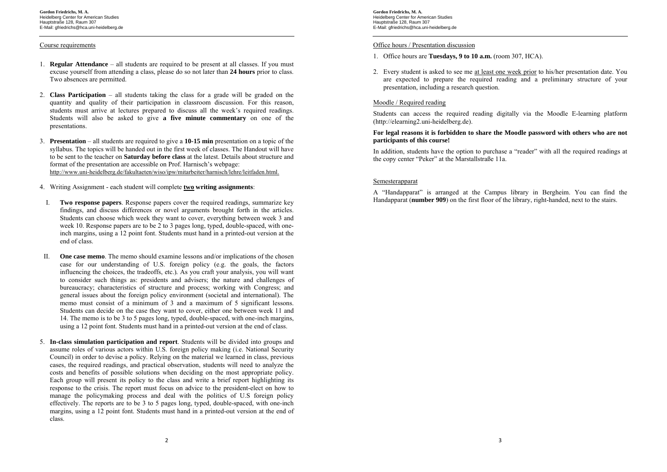#### Course requirements

- 1. **Regular Attendance** all students are required to be present at all classes. If you must excuse yourself from attending a class, please do so not later than **24 hours** prior to class. Two absences are permitted.
- 2. **Class Participation** all students taking the class for a grade will be graded on the quantity and quality of their participation in classroom discussion. For this reason, students must arrive at lectures prepared to discuss all the week's required readings. Students will also be asked to give **a five minute commentary** on one of the presentations.
- 3. **Presentation** all students are required to give a **10-15 min** presentation on a topic of the syllabus. The topics will be handed out in the first week of classes. The Handout will have to be sent to the teacher on **Saturday before class** at the latest. Details about structure and format of the presentation are accessible on Prof. Harnisch's webpage: http://www.uni-heidelberg.de/fakultaeten/wiso/ipw/mitarbeiter/harnisch/lehre/leitfaden.html.
- 4. Writing Assignment each student will complete **two writing assignments**:
- I. **Two response papers**. Response papers cover the required readings, summarize key findings, and discuss differences or novel arguments brought forth in the articles. Students can choose which week they want to cover, everything between week 3 and week 10. Response papers are to be 2 to 3 pages long, typed, double-spaced, with oneinch margins, using a 12 point font. Students must hand in a printed-out version at the end of class.
- II. **One case memo**. The memo should examine lessons and/or implications of the chosen case for our understanding of U.S. foreign policy (e.g. the goals, the factors influencing the choices, the tradeoffs, etc.)*.* As you craft your analysis, you will want to consider such things as: presidents and advisers; the nature and challenges of bureaucracy; characteristics of structure and process; working with Congress; and general issues about the foreign policy environment (societal and international). The memo must consist of a minimum of 3 and a maximum of 5 significant lessons. Students can decide on the case they want to cover, either one between week 11 and 14. The memo is to be 3 to 5 pages long, typed, double-spaced, with one-inch margins, using a 12 point font. Students must hand in a printed-out version at the end of class.
- 5. **In-class simulation participation and report**. Students will be divided into groups and assume roles of various actors within U.S. foreign policy making (i.e. National Security Council) in order to devise a policy. Relying on the material we learned in class, previous cases, the required readings, and practical observation, students will need to analyze the costs and benefits of possible solutions when deciding on the most appropriate policy. Each group will present its policy to the class and write a brief report highlighting its response to the crisis. The report must focus on advice to the president-elect on how to manage the policymaking process and deal with the politics of U.S foreign policy effectively. The reports are to be 3 to 5 pages long, typed, double-spaced, with one-inch margins, using a 12 point font. Students must hand in a printed-out version at the end of class.

**Gordon Friedrichs, M. A.**  Heidelberg Center for American Studies Hauptstraße 128, Raum 307 E-Mail: gfriedrichs@hca.uni-heidelberg.de

#### Office hours / Presentation discussion

- 1. Office hours are **Tuesdays, 9 to 10 a.m.** (room 307, HCA).
- 2. Every student is asked to see me <u>at least one week prior</u> to his/her presentation date. You are expected to prepare the required reading and a preliminary structure of your presentation, including a research question.

#### Moodle / Required reading

Students can access the required reading digitally via the Moodle E-learning platform (http://elearning2.uni-heidelberg.de).

#### **For legal reasons it is forbidden to share the Moodle password with others who are not participants of this course!**

In addition, students have the option to purchase a "reader" with all the required readings at the copy center "Peker" at the Marstallstraße 11a.

#### Semesterapparat

A "Handapparat" is arranged at the Campus library in Bergheim. You can find the Handapparat (**number 909**) on the first floor of the library, right-handed, next to the stairs.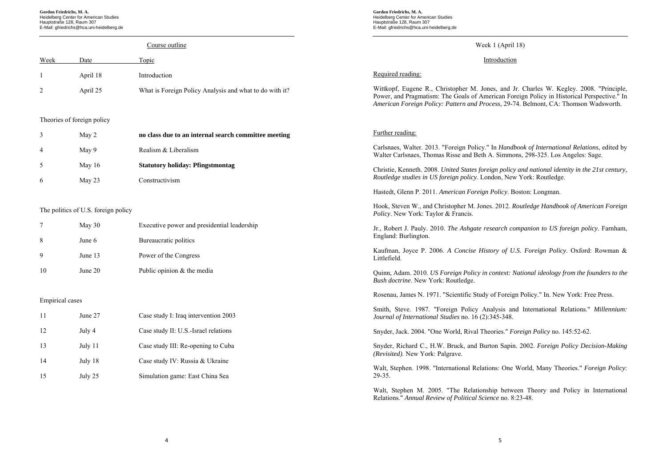**Gordon Friedrichs, M. A.**  Heidelberg Center for American Studies Hauptstraße 128, Raum 307 E-Mail: gfriedrichs@hca.uni-heidelberg.de

#### Course outline Week Date Topic 1 April 18 Introduction 2 April 25 What is Foreign Policy Analysis and what to do with it? Theories of foreign policy 3 May 2 **no class due to an internal search committee meeting**  4 May 9 Realism & Liberalism 5 May 16 **Statutory holiday: Pfingstmontag** 6 May 23 Constructivism The politics of U.S. foreign policy 7 May 30 Executive power and presidential leadership 8 June 6 Bureaucratic politics 9 June 13 Power of the Congress 10 June 20 Public opinion & the media Empirical cases 11 June 27 Case study I: Iraq intervention 2003 12 July 4 Case study II: U.S.-Israel relations 13 July 11 Case study III: Re-opening to Cuba 14 July 18 Case study IV: Russia & Ukraine 15 July 25 Simulation game: East China Sea Week 1 (April 18) Introduction Required reading: Wittkopf, Eugene R., Christopher M. Jones, and Jr. Charles W. Kegley. 2008. "Principle, Power, and Pragmatism: The Goals of American Foreign Policy in Historical Perspective." In *American Foreign Policy: Pattern and Process*, 29-74. Belmont, CA: Thomson Wadsworth. Further reading: Carlsnaes, Walter. 2013. "Foreign Policy." In *Handbook of International Relations*, edited by Walter Carlsnaes, Thomas Risse and Beth A. Simmons, 298-325. Los Angeles: Sage. Christie, Kenneth. 2008. *United States foreign policy and national identity in the 21st century*, *Routledge studies in US foreign policy*. London, New York: Routledge. Hastedt, Glenn P. 2011. *American Foreign Policy*. Boston: Longman. Hook, Steven W., and Christopher M. Jones. 2012. *Routledge Handbook of American Foreign Policy*. New York: Taylor & Francis. Jr., Robert J. Pauly. 2010. *The Ashgate research companion to US foreign policy*. Farnham, England: Burlington. Kaufman, Joyce P. 2006. *A Concise History of U.S. Foreign Policy*. Oxford: Rowman & Littlefield. Quinn, Adam. 2010. *US Foreign Policy in context: National ideology from the founders to the Bush doctrine*. New York: Routledge. Rosenau, James N. 1971. "Scientific Study of Foreign Policy." In. New York: Free Press. Smith, Steve. 1987. "Foreign Policy Analysis and International Relations." *Millennium: Journal of International Studies* no. 16 (2):345-348. Snyder, Jack. 2004. "One World, Rival Theories." *Foreign Policy* no. 145:52-62. Snyder, Richard C., H.W. Bruck, and Burton Sapin. 2002. *Foreign Policy Decision-Making (Revisited)*. New York: Palgrave. Walt, Stephen. 1998. "International Relations: One World, Many Theories." *Foreign Policy*: 29-35. Walt, Stephen M. 2005. "The Relationship between Theory and Policy in International

**Gordon Friedrichs, M. A.**  Heidelberg Center for American Studies Hauptstraße 128, Raum 307 E-Mail: gfriedrichs@hca.uni-heidelberg.de

Relations." *Annual Review of Political Science* no. 8:23-48.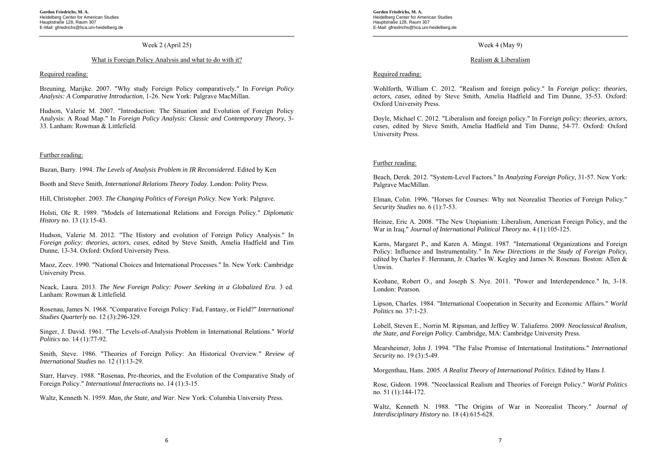#### Week 2 (April 25)

#### What is Foreign Policy Analysis and what to do with it?

#### Required reading:

Breuning, Marijke. 2007. "Why study Foreign Policy comparatively." In *Foreign Policy Analysis: A Comparative Introduction*, 1-26. New York: Palgrave MacMillan.

Hudson, Valerie M. 2007. "Introduction: The Situation and Evolution of Foreign Policy Analysis: A Road Map." In *Foreign Policy Analysis: Classic and Contemporary Theory*, 3- 33. Lanham: Rowman & Littlefield.

#### Further reading:

Buzan, Barry. 1994. *The Levels of Analysis Problem in IR Reconsidered*. Edited by Ken

Booth and Steve Smith, *International Relations Theory Today*. London: Polity Press.

Hill, Christopher. 2003. *The Changing Politics of Foreign Policy*. New York: Palgrave.

Holsti, Ole R. 1989. "Models of International Relations and Foreign Policy." *Diplomatic History* no. 13 (1):15-43.

Hudson, Valerie M. 2012. "The History and evolution of Foreign Policy Analysis." In *Foreign policy: theories, actors, cases*, edited by Steve Smith, Amelia Hadfield and Tim Dunne, 13-34. Oxford: Oxford University Press.

Maoz, Zeev. 1990. "National Choices and International Processes." In. New York: Cambridge University Press.

Neack, Laura. 2013. *The New Foreign Policy: Power Seeking in a Globalized Era*. 3 ed. Lanham: Rowman & Littlefield.

Rosenau, James N. 1968. "Comparative Foreign Policy: Fad, Fantasy, or Field?" *International Studies Quarterly* no. 12 (3):296-329.

Singer, J. David. 1961. "The Levels-of-Analysis Problem in International Relations." *World Politics* no. 14 (1):77-92.

Smith, Steve. 1986. "Theories of Foreign Policy: An Historical Overview." *Review of International Studies* no. 12 (1):13-29.

Starr, Harvey. 1988. "Rosenau, Pre-theories, and the Evolution of the Comparative Study of Foreign Policy." *International Interactions* no. 14 (1):3-15.

Waltz, Kenneth N. 1959. *Man, the State, and War*. New York: Columbia University Press.

**Gordon Friedrichs, M. A.**  Heidelberg Center for American Studies Hauptstraße 128, Raum 307 E-Mail: gfriedrichs@hca.uni-heidelberg.de

## Week 4 (May 9)

#### Realism & Liberalism

## Required reading:

Wohlforth, William C. 2012. "Realism and foreign policy." In *Foreign policy: theories, actors, cases*, edited by Steve Smith, Amelia Hadfield and Tim Dunne, 35-53. Oxford: Oxford University Press.

Doyle, Michael C. 2012. "Liberalism and foreign policy." In *Foreign policy: theories, actors, cases*, edited by Steve Smith, Amelia Hadfield and Tim Dunne, 54-77. Oxford: Oxford University Press.

## Further reading:

Beach, Derek. 2012. "System-Level Factors." In *Analyzing Foreign Policy*, 31-57. New York: Palgrave MacMillan.

Elman, Colin. 1996. "Horses for Courses: Why not Neorealist Theories of Foreign Policy." *Security Studies* no. 6 (1):7-53.

Heinze, Eric A. 2008. "The New Utopianism: Liberalism, American Foreign Policy, and the War in Iraq." *Journal of International Political Theory* no. 4 (1):105-125.

Karns, Margaret P., and Karen A. Mingst. 1987. "International Organizations and Foreign Policy: Influence and Instrumentality." In *New Directions in the Study of Foreign Policy*, edited by Charles F. Hermann, Jr. Charles W. Kegley and James N. Rosenau. Boston: Allen & Unwin.

Keohane, Robert O., and Joseph S. Nye. 2011. "Power and Interdependence." In, 3-18. London: Pearson.

Lipson, Charles. 1984. "International Cooperation in Security and Economic Affairs." *World Politics* no. 37:1-23.

Lobell, Steven E., Norrin M. Ripsman, and Jeffrey W. Taliaferro. 2009. *Neoclassical Realism, the State, and Foreign Policy*. Cambridge, MA: Cambridge University Press.

Mearsheimer, John J. 1994. "The False Promise of International Institutions." *International Security* no. 19 (3):5-49.

Morgenthau, Hans. 2005. *A Realist Theory of International Politics*. Edited by Hans J.

Rose, Gideon. 1998. "Neoclassical Realism and Theories of Foreign Policy." *World Politics* no. 51 (1):144-172.

Waltz, Kenneth N. 1988. "The Origins of War in Neorealist Theory." *Journal of Interdisciplinary History* no. 18 (4):615-628.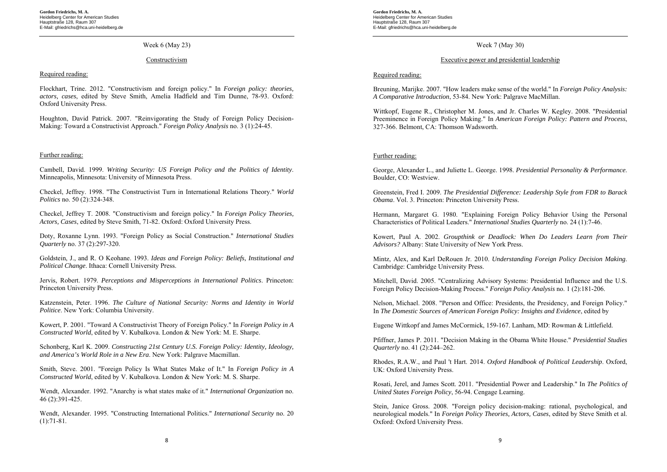## Week 6 (May 23)

#### Constructivism

#### Required reading:

Flockhart, Trine. 2012. "Constructivism and foreign policy." In *Foreign policy: theories, actors, cases*, edited by Steve Smith, Amelia Hadfield and Tim Dunne, 78-93. Oxford: Oxford University Press.

Houghton, David Patrick. 2007. "Reinvigorating the Study of Foreign Policy Decision-Making: Toward a Constructivist Approach." *Foreign Policy Analysis* no. 3 (1):24-45.

#### Further reading:

Cambell, David. 1999. *Writing Security: US Foreign Policy and the Politics of Identity*. Minneapolis, Minnesota: University of Minnesota Press.

Checkel, Jeffrey. 1998. "The Constructivist Turn in International Relations Theory." *World Politics* no. 50 (2):324-348.

Checkel, Jeffrey T. 2008. "Constructivism and foreign policy." In *Foreign Policy Theories, Actors, Cases*, edited by Steve Smith, 71-82. Oxford: Oxford University Press.

Doty, Roxanne Lynn. 1993. "Foreign Policy as Social Construction." *International Studies Quarterly* no. 37 (2):297-320.

Goldstein, J., and R. O Keohane. 1993. *Ideas and Foreign Policy: Beliefs, Institutional and Political Change*. Ithaca: Cornell University Press.

Jervis, Robert. 1979. *Perceptions and Misperceptions in International Politics*. Princeton: Princeton University Press.

Katzenstein, Peter. 1996. *The Culture of National Security: Norms and Identity in World Politice*. New York: Columbia University.

Kowert, P. 2001. "Toward A Constructivist Theory of Foreign Policy." In *Foreign Policy in A Constructed World*, edited by V. Kubalkova. London & New York: M. E. Sharpe.

Schonberg, Karl K. 2009. *Constructing 21st Century U.S. Foreign Policy: Identity, Ideology, and America's World Role in a New Era*. New York: Palgrave Macmillan.

Smith, Steve. 2001. "Foreign Policy Is What States Make of It." In *Foreign Policy in A Constructed World*, edited by V. Kubalkova. London & New York: M. S. Sharpe.

Wendt, Alexander. 1992. "Anarchy is what states make of it." *International Organization* no. 46 (2):391-425.

Wendt, Alexander. 1995. "Constructing International Politics." *International Security* no. 20  $(1):71-81.$ 

**Gordon Friedrichs, M. A.**  Heidelberg Center for American Studies Hauptstraße 128, Raum 307 E-Mail: gfriedrichs@hca.uni-heidelberg.de

Week 7 (May 30)

#### Executive power and presidential leadership

## Required reading:

Breuning, Marijke. 2007. "How leaders make sense of the world." In *Foreign Policy Analysis: A Comparative Introduction*, 53-84. New York: Palgrave MacMillan.

Wittkopf, Eugene R., Christopher M. Jones, and Jr. Charles W. Kegley. 2008. "Presidential Preeminence in Foreign Policy Making." In *American Foreign Policy: Pattern and Process*, 327-366. Belmont, CA: Thomson Wadsworth.

#### Further reading:

George, Alexander L., and Juliette L. George. 1998. *Presidential Personality & Performance*. Boulder, CO: Westview.

Greenstein, Fred I. 2009. *The Presidential Difference: Leadership Style from FDR to Barack Obama*. Vol. 3. Princeton: Princeton University Press.

Hermann, Margaret G. 1980. "Explaining Foreign Policy Behavior Using the Personal Characteristics of Political Leaders." *International Studies Quarterly* no. 24 (1):7-46.

Kowert, Paul A. 2002. *Groupthink or Deadlock: When Do Leaders Learn from Their Advisors?* Albany: State University of New York Press.

Mintz, Alex, and Karl DeRouen Jr. 2010. *Understanding Foreign Policy Decision Making*. Cambridge: Cambridge University Press.

Mitchell, David. 2005. "Centralizing Advisory Systems: Presidential Influence and the U.S. Foreign Policy Decision-Making Process." *Foreign Policy Analysis* no. 1 (2):181-206.

Nelson, Michael. 2008. "Person and Office: Presidents, the Presidency, and Foreign Policy." In *The Domestic Sources of American Foreign Policy: Insights and Evidence*, edited by

Eugene Wittkopf and James McCormick, 159-167. Lanham, MD: Rowman & Littlefield.

Pfiffner, James P. 2011. "Decision Making in the Obama White House." *Presidential Studies Quarterly* no. 41 (2):244–262.

Rhodes, R.A.W., and Paul 't Hart. 2014. *Oxford Handbook of Political Leadership*. Oxford, UK: Oxford University Press.

Rosati, Jerel, and James Scott. 2011. "Presidential Power and Leadership." In *The Politics of United States Foreign Policy*, 56-94. Cengage Learning.

Stein, Janice Gross. 2008. "Foreign policy decision-making: rational, psychological, and neurological models." In *Foreign Policy Theories, Actors, Cases*, edited by Steve Smith et al. Oxford: Oxford University Press.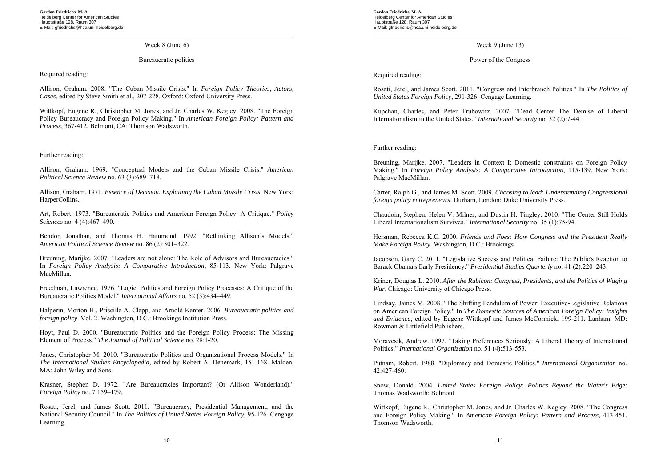#### Week 8 (June 6)

#### Bureaucratic politics

#### Required reading:

Allison, Graham. 2008. "The Cuban Missile Crisis." In *Foreign Policy Theories, Actors, Cases*, edited by Steve Smith et al., 207-228. Oxford: Oxford University Press.

Wittkopf, Eugene R., Christopher M. Jones, and Jr. Charles W. Kegley. 2008. "The Foreign Policy Bureaucracy and Foreign Policy Making." In *American Foreign Policy: Pattern and Process*, 367-412. Belmont, CA: Thomson Wadsworth.

#### Further reading:

Allison, Graham. 1969. "Conceptual Models and the Cuban Missile Crisis." *American Political Science Review* no. 63 (3):689–718.

Allison, Graham. 1971. *Essence of Decision. Explaining the Cuban Missile Crisis*. New York: HarperCollins.

Art, Robert. 1973. "Bureaucratic Politics and American Foreign Policy: A Critique." *Policy Sciences* no. 4 (4):467–490.

Bendor, Jonathan, and Thomas H. Hammond. 1992. "Rethinking Allison's Models." *American Political Science Review* no. 86 (2):301–322.

Breuning, Marijke. 2007. "Leaders are not alone: The Role of Advisors and Bureaucracies." In *Foreign Policy Analysis: A Comparative Introduction*, 85-113. New York: Palgrave MacMillan.

Freedman, Lawrence. 1976. "Logic, Politics and Foreign Policy Processes: A Critique of the Bureaucratic Politics Model." *International Affairs* no. 52 (3):434–449.

Halperin, Morton H., Priscilla A. Clapp, and Arnold Kanter. 2006. *Bureaucratic politics and foreign policy*. Vol. 2. Washington, D.C.: Brookings Institution Press.

Hoyt, Paul D. 2000. "Bureaucratic Politics and the Foreign Policy Process: The Missing Element of Process." *The Journal of Political Science* no. 28:1-20.

Jones, Christopher M. 2010. "Bureaucratic Politics and Organizational Process Models." In *The International Studies Encyclopedia*, edited by Robert A. Denemark, 151-168. Malden, MA: John Wiley and Sons.

Krasner, Stephen D. 1972. "Are Bureaucracies Important? (Or Allison Wonderland)." *Foreign Policy* no. 7:159–179.

Rosati, Jerel, and James Scott. 2011. "Bureaucracy, Presidential Management, and the National Security Council." In *The Politics of United States Foreign Policy*, 95-126. Cengage Learning.

**Gordon Friedrichs, M. A.**  Heidelberg Center for American Studies Hauptstraße 128, Raum 307 E-Mail: gfriedrichs@hca.uni-heidelberg.de

Week 9 (June 13)

#### Power of the Congress

## Required reading:

Rosati, Jerel, and James Scott. 2011. "Congress and Interbranch Politics." In *The Politics of United States Foreign Policy*, 291-326. Cengage Learning.

Kupchan, Charles, and Peter Trubowitz. 2007. "Dead Center The Demise of Liberal Internationalism in the United States." *International Security* no. 32 (2):7-44.

#### Further reading:

Breuning, Marijke. 2007. "Leaders in Context I: Domestic constraints on Foreign Policy Making." In *Foreign Policy Analysis: A Comparative Introduction*, 115-139. New York: Palgrave MacMillan.

Carter, Ralph G., and James M. Scott. 2009. *Choosing to lead: Understanding Congressional foreign policy entrepreneurs*. Durham, London: Duke University Press.

Chaudoin, Stephen, Helen V. Milner, and Dustin H. Tingley. 2010. "The Center Still Holds Liberal Internationalism Survives." *International Security* no. 35 (1):75-94.

Hersman, Rebecca K.C. 2000. *Friends and Foes: How Congress and the President Really Make Foreign Policy*. Washington, D.C.: Brookings.

Jacobson, Gary C. 2011. "Legislative Success and Political Failure: The Public's Reaction to Barack Obama's Early Presidency." *Presidential Studies Quarterly* no. 41 (2):220–243.

Kriner, Douglas L. 2010. *After the Rubicon: Congress, Presidents, and the Politics of Waging War*. Chicago: University of Chicago Press.

Lindsay, James M. 2008. "The Shifting Pendulum of Power: Executive-Legislative Relations on American Foreign Policy." In *The Domestic Sources of American Foreign Policy: Insights and Evidence*, edited by Eugene Wittkopf and James McCormick, 199-211. Lanham, MD: Rowman & Littlefield Publishers.

Moravcsik, Andrew. 1997. "Taking Preferences Seriously: A Liberal Theory of International Politics." *International Organization* no. 51 (4):513-553.

Putnam, Robert. 1988. "Diplomacy and Domestic Politics." *International Organization* no. 42:427-460.

Snow, Donald. 2004. *United States Foreign Policy: Politics Beyond the Water's Edge*: Thomas Wadsworth: Belmont.

Wittkopf, Eugene R., Christopher M. Jones, and Jr. Charles W. Kegley. 2008. "The Congress and Foreign Policy Making." In *American Foreign Policy: Pattern and Process*, 413-451. Thomson Wadsworth.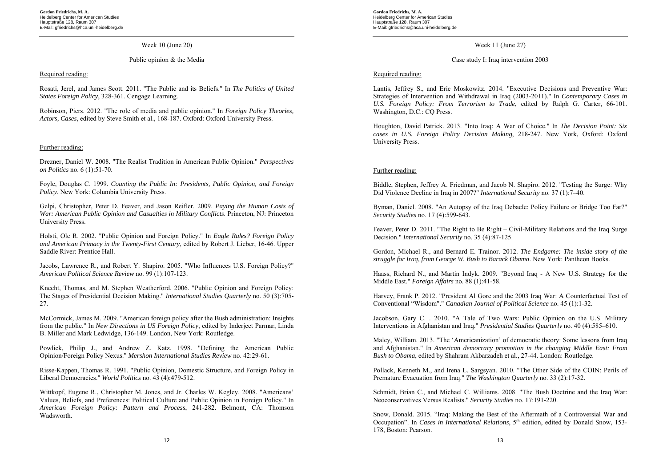#### Week 10 (June 20)

#### Public opinion & the Media

#### Required reading:

Rosati, Jerel, and James Scott. 2011. "The Public and its Beliefs." In *The Politics of United States Foreign Policy*, 328-361. Cengage Learning.

Robinson, Piers. 2012. "The role of media and public opinion." In *Foreign Policy Theories, Actors, Cases*, edited by Steve Smith et al., 168-187. Oxford: Oxford University Press.

#### Further reading:

Drezner, Daniel W. 2008. "The Realist Tradition in American Public Opinion." *Perspectives on Politics* no. 6 (1):51-70.

Foyle, Douglas C. 1999. *Counting the Public In: Presidents, Public Opinion, and Foreign Policy*. New York: Columbia University Press.

Gelpi, Christopher, Peter D. Feaver, and Jason Reifler. 2009. *Paying the Human Costs of War: American Public Opinion and Casualties in Military Conflicts*. Princeton, NJ: Princeton University Press.

Holsti, Ole R. 2002. "Public Opinion and Foreign Policy." In *Eagle Rules? Foreign Policy and American Primacy in the Twenty-First Century*, edited by Robert J. Lieber, 16-46. Upper Saddle River: Prentice Hall.

Jacobs, Lawrence R., and Robert Y. Shapiro. 2005. "Who Influences U.S. Foreign Policy?" *American Political Science Review* no. 99 (1):107-123.

Knecht, Thomas, and M. Stephen Weatherford. 2006. "Public Opinion and Foreign Policy: The Stages of Presidential Decision Making." *International Studies Quarterly* no. 50 (3):705- 27.

McCormick, James M. 2009. "American foreign policy after the Bush administration: Insights from the public." In *New Directions in US Foreign Policy*, edited by Inderjeet Parmar, Linda B. Miller and Mark Ledwidge, 136-149. London, New York: Routledge.

Powlick, Philip J., and Andrew Z. Katz. 1998. "Defining the American Public Opinion/Foreign Policy Nexus." *Mershon International Studies Review* no. 42:29-61.

Risse-Kappen, Thomas R. 1991. "Public Opinion, Domestic Structure, and Foreign Policy in Liberal Democracies." *World Politics* no. 43 (4):479-512.

Wittkopf, Eugene R., Christopher M. Jones, and Jr. Charles W. Kegley. 2008. "Americans' Values, Beliefs, and Preferences: Political Culture and Public Opinion in Foreign Policy." In *American Foreign Policy: Pattern and Process*, 241-282. Belmont, CA: Thomson Wadsworth.

**Gordon Friedrichs, M. A.**  Heidelberg Center for American Studies Hauptstraße 128, Raum 307 E-Mail: gfriedrichs@hca.uni-heidelberg.de

#### Week 11 (June 27)

#### Case study I: Iraq intervention 2003

### Required reading:

Lantis, Jeffrey S., and Eric Moskowitz. 2014. "Executive Decisions and Preventive War: Strategies of Intervention and Withdrawal in Iraq (2003-2011)." In *Contemporary Cases in U.S. Foreign Policy: From Terrorism to Trade*, edited by Ralph G. Carter, 66-101. Washington, D.C.: CQ Press.

Houghton, David Patrick. 2013. "Into Iraq: A War of Choice." In *The Decision Point: Six cases in U.S. Foreign Policy Decision Making*, 218-247. New York, Oxford: Oxford University Press.

#### Further reading:

Biddle, Stephen, Jeffrey A. Friedman, and Jacob N. Shapiro. 2012. "Testing the Surge: Why Did Violence Decline in Iraq in 2007?" *International Security* no. 37 (1):7–40.

Byman, Daniel. 2008. "An Autopsy of the Iraq Debacle: Policy Failure or Bridge Too Far?" *Security Studies* no. 17 (4):599-643.

Feaver, Peter D. 2011. "The Right to Be Right – Civil-Military Relations and the Iraq Surge Decision." *International Security* no. 35 (4):87-125.

Gordon, Michael R., and Bernard E. Trainor. 2012. *The Endgame: The inside story of the struggle for Iraq, from George W. Bush to Barack Obama*. New York: Pantheon Books.

Haass, Richard N., and Martin Indyk. 2009. "Beyond Iraq - A New U.S. Strategy for the Middle East." *Foreign Affairs* no. 88 (1):41-58.

Harvey, Frank P. 2012. "President Al Gore and the 2003 Iraq War: A Counterfactual Test of Conventional "Wisdom"." *Canadian Journal of Political Science* no. 45 (1):1-32.

Jacobson, Gary C. . 2010. "A Tale of Two Wars: Public Opinion on the U.S. Military Interventions in Afghanistan and Iraq." *Presidential Studies Quarterly* no. 40 (4):585–610.

Maley, William. 2013. "The 'Americanization' of democratic theory: Some lessons from Iraq and Afghanistan." In *American democracy promotion in the changing Middle East: From Bush to Obama*, edited by Shahram Akbarzadeh et al., 27-44. London: Routledge.

Pollack, Kenneth M., and Irena L. Sargsyan. 2010. "The Other Side of the COIN: Perils of Premature Evacuation from Iraq." *The Washington Quarterly* no. 33 (2):17-32.

Schmidt, Brian C., and Michael C. Williams. 2008. "The Bush Doctrine and the Iraq War: Neoconservatives Versus Realists." *Security Studies* no. 17:191-220.

Snow, Donald. 2015. "Iraq: Making the Best of the Aftermath of a Controversial War and Occupation". In *Cases in International Relations*, 5th edition, edited by Donald Snow, 153- 178, Boston: Pearson.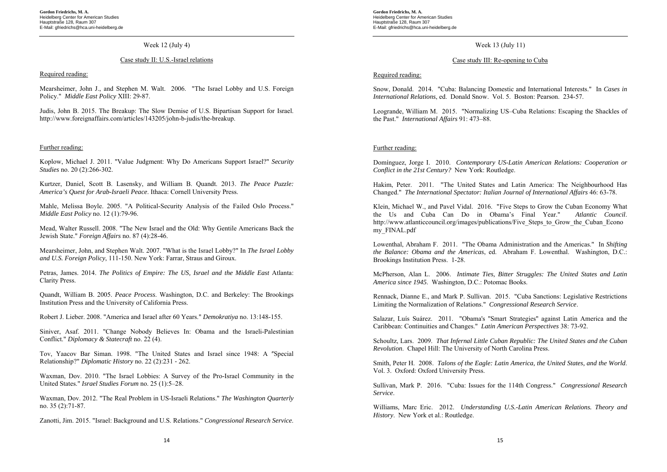#### Week 12 (July 4)

#### Case study II: U.S.-Israel relations

#### Required reading:

Mearsheimer, John J., and Stephen M. Walt. 2006. "The Israel Lobby and U.S. Foreign Policy." *Middle East Policy* XIII: 29-87.

Judis, John B. 2015. The Breakup: The Slow Demise of U.S. Bipartisan Support for Israel. http://www.foreignaffairs.com/articles/143205/john-b-judis/the-breakup.

#### Further reading:

Koplow, Michael J. 2011. "Value Judgment: Why Do Americans Support Israel?" *Security Studies* no. 20 (2):266-302.

Kurtzer, Daniel, Scott B. Lasensky, and William B. Quandt. 2013. *The Peace Puzzle: America's Quest for Arab-Israeli Peace*. Ithaca: Cornell University Press.

Mahle, Melissa Boyle. 2005. "A Political-Security Analysis of the Failed Oslo Process." *Middle East Policy* no. 12 (1):79-96.

Mead, Walter Russell. 2008. "The New Israel and the Old: Why Gentile Americans Back the Jewish State." *Foreign Affairs* no. 87 (4):28-46.

Mearsheimer, John, and Stephen Walt. 2007. "What is the Israel Lobby?" In *The Israel Lobby and U.S. Foreign Policy*, 111-150. New York: Farrar, Straus and Giroux.

Petras, James. 2014. *The Politics of Empire: The US, Israel and the Middle East* Atlanta: Clarity Press.

Quandt, William B. 2005. *Peace Process*. Washington, D.C. and Berkeley: The Brookings Institution Press and the University of California Press.

Robert J. Lieber. 2008. "America and Israel after 60 Years." *Demokratiya* no. 13:148-155.

Siniver, Asaf. 2011. "Change Nobody Believes In: Obama and the Israeli-Palestinian Conflict." *Diplomacy & Statecraft* no. 22 (4).

Tov, Yaacov Bar Siman. 1998. "The United States and Israel since 1948: A <sup>ʺ</sup>Special Relationship?" *Diplomatic History* no. 22 (2):231 ‐ 262.

Waxman, Dov. 2010. "The Israel Lobbies: A Survey of the Pro-Israel Community in the United States." *Israel Studies Forum* no. 25 (1):5–28.

Waxman, Dov. 2012. "The Real Problem in US-Israeli Relations." *The Washington Quarterly* no. 35 (2):71-87.

Zanotti, Jim. 2015. "Israel: Background and U.S. Relations." *Congressional Research Service*.

**Gordon Friedrichs, M. A.**  Heidelberg Center for American Studies Hauptstraße 128, Raum 307 E-Mail: gfriedrichs@hca.uni-heidelberg.de

#### Week 13 (July 11)

#### Case study III: Re-opening to Cuba

#### Required reading:

Snow, Donald. 2014. "Cuba: Balancing Domestic and International Interests." In *Cases in International Relations*, ed. Donald Snow. Vol. 5. Boston: Pearson. 234-57.

Leogrande, William M. 2015. "Normalizing US–Cuba Relations: Escaping the Shackles of the Past." *International Affairs* 91: 473–88.

#### Further reading:

Domínguez, Jorge I. 2010. *Contemporary US-Latin American Relations: Cooperation or Conflict in the 21st Century?* New York: Routledge.

Hakim, Peter. 2011. "The United States and Latin America: The Neighbourhood Has Changed." *The International Spectator: Italian Journal of International Affairs* 46: 63-78.

Klein, Michael W., and Pavel Vidal. 2016. "Five Steps to Grow the Cuban Economy What the Us and Cuba Can Do in Obama's Final Year." *Atlantic Council*. http://www.atlanticcouncil.org/images/publications/Five\_Steps\_to\_Grow\_the\_Cuban\_Econo my\_FINAL.pdf

Lowenthal, Abraham F. 2011. "The Obama Administration and the Americas." In *Shifting the Balance: Obama and the Americas*, ed. Abraham F. Lowenthal. Washington, D.C.: Brookings Institution Press. 1-28.

McPherson, Alan L. 2006. *Intimate Ties, Bitter Struggles: The United States and Latin America since 1945*. Washington, D.C.: Potomac Books.

Rennack, Dianne E., and Mark P. Sullivan. 2015. "Cuba Sanctions: Legislative Restrictions Limiting the Normalization of Relations." *Congressional Research Service*.

Salazar, Luís Suárez. 2011. "Obama's ''Smart Strategies'' against Latin America and the Caribbean: Continuities and Changes." *Latin American Perspectives* 38: 73-92.

Schoultz, Lars. 2009. *That Infernal Little Cuban Republic: The United States and the Cuban Revolution*. Chapel Hill: The University of North Carolina Press.

Smith, Peter H. 2008. *Talons of the Eagle: Latin America, the United States, and the World*. Vol. 3. Oxford: Oxford University Press.

Sullivan, Mark P. 2016. "Cuba: Issues for the 114th Congress." *Congressional Research Service*.

Williams, Marc Eric. 2012. *Understanding U.S.-Latin American Relations. Theory and History*. New York et al.: Routledge.